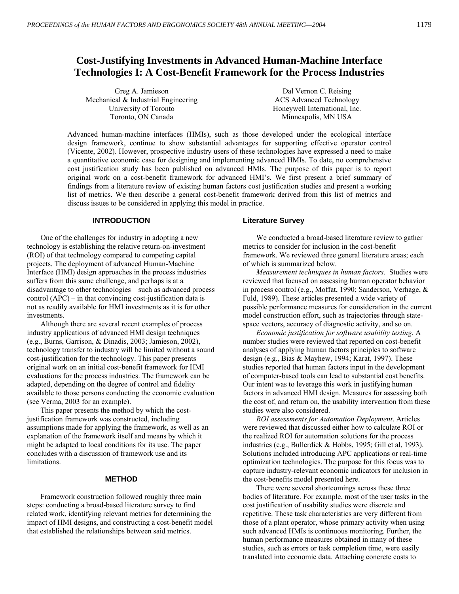# **Cost-Justifying Investments in Advanced Human-Machine Interface Technologies I: A Cost-Benefit Framework for the Process Industries**

| Greg A. Jamieson                       | Dal Vernon C. Reising         |
|----------------------------------------|-------------------------------|
| Mechanical $\&$ Industrial Engineering | ACS Advanced Technology       |
| University of Toronto                  | Honeywell International, Inc. |
| Toronto, ON Canada                     | Minneapolis, MN USA           |

Advanced human-machine interfaces (HMIs), such as those developed under the ecological interface design framework, continue to show substantial advantages for supporting effective operator control (Vicente, 2002). However, prospective industry users of these technologies have expressed a need to make a quantitative economic case for designing and implementing advanced HMIs. To date, no comprehensive cost justification study has been published on advanced HMIs. The purpose of this paper is to report original work on a cost-benefit framework for advanced HMI's. We first present a brief summary of findings from a literature review of existing human factors cost justification studies and present a working list of metrics. We then describe a general cost-benefit framework derived from this list of metrics and discuss issues to be considered in applying this model in practice.

# **INTRODUCTION**

One of the challenges for industry in adopting a new technology is establishing the relative return-on-investment (ROI) of that technology compared to competing capital projects. The deployment of advanced Human-Machine Interface (HMI) design approaches in the process industries suffers from this same challenge, and perhaps is at a  $disadvantage$  to other technologies  $-$  such as advanced process control  $(APC)$  – in that convincing cost-justification data is not as readily available for HMI investments as it is for other investments.

Although there are several recent examples of process industry applications of advanced HMI design techniques (e.g., Burns, Garrison, & Dinadis, 2003; Jamieson, 2002), technology transfer to industry will be limited without a sound cost-justification for the technology. This paper presents original work on an initial cost-benefit framework for HMI evaluations for the process industries. The framework can be adapted, depending on the degree of control and fidelity available to those persons conducting the economic evaluation (see Verma, 2003 for an example).

This paper presents the method by which the costjustification framework was constructed, including assumptions made for applying the framework, as well as an explanation of the framework itself and means by which it might be adapted to local conditions for its use. The paper concludes with a discussion of framework use and its limitations.

# **METHOD**

Framework construction followed roughly three main steps: conducting a broad-based literature survey to find related work, identifying relevant metrics for determining the impact of HMI designs, and constructing a cost-benefit model that established the relationships between said metrics.

#### **Literature Survey**

We conducted a broad-based literature review to gather metrics to consider for inclusion in the cost-benefit framework. We reviewed three general literature areas; each of which is summarized below.

*Measurement techniques in human factors.* Studies were reviewed that focused on assessing human operator behavior in process control (e.g., Moffat, 1990; Sanderson, Verhage, & Fuld, 1989). These articles presented a wide variety of possible performance measures for consideration in the current model construction effort, such as trajectories through statespace vectors, accuracy of diagnostic activity, and so on.

*Economic justification for software usability testing*. A number studies were reviewed that reported on cost-benefit analyses of applying human factors principles to software design (e.g., Bias & Mayhew, 1994; Karat, 1997). These studies reported that human factors input in the development of computer-based tools can lead to substantial cost benefits. Our intent was to leverage this work in justifying human factors in advanced HMI design. Measures for assessing both the cost of, and return on, the usability intervention from these studies were also considered.

*ROI assessments for Automation Deployment*. Articles were reviewed that discussed either how to calculate ROI or the realized ROI for automation solutions for the process industries (e.g., Bullerdiek & Hobbs, 1995; Gill et al, 1993). Solutions included introducing APC applications or real-time optimization technologies. The purpose for this focus was to capture industry-relevant economic indicators for inclusion in the cost-benefits model presented here.

There were several shortcomings across these three bodies of literature. For example, most of the user tasks in the cost justification of usability studies were discrete and repetitive. These task characteristics are very different from those of a plant operator, whose primary activity when using such advanced HMIs is continuous monitoring. Further, the human performance measures obtained in many of these studies, such as errors or task completion time, were easily translated into economic data. Attaching concrete costs to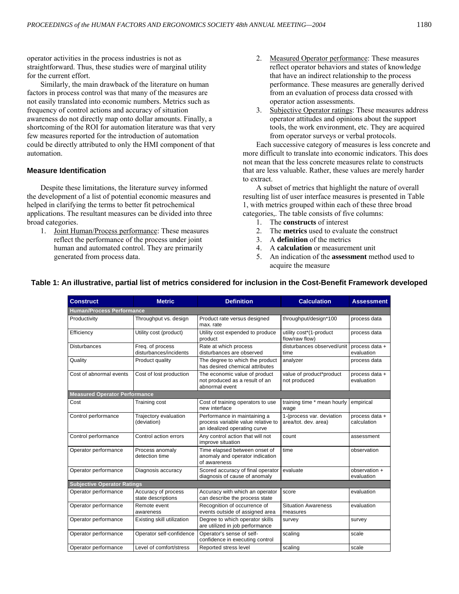operator activities in the process industries is not as straightforward. Thus, these studies were of marginal utility for the current effort.

Similarly, the main drawback of the literature on human factors in process control was that many of the measures are not easily translated into economic numbers. Metrics such as frequency of control actions and accuracy of situation awareness do not directly map onto dollar amounts. Finally, a shortcoming of the ROI for automation literature was that very few measures reported for the introduction of automation could be directly attributed to only the HMI component of that automation.

# **Measure Identification**

Despite these limitations, the literature survey informed the development of a list of potential economic measures and helped in clarifying the terms to better fit petrochemical applications. The resultant measures can be divided into three broad categories.

1. Joint Human/Process performance: These measures reflect the performance of the process under joint human and automated control. They are primarily generated from process data.

- 2. Measured Operator performance: These measures reflect operator behaviors and states of knowledge that have an indirect relationship to the process performance. These measures are generally derived from an evaluation of process data crossed with operator action assessments.
- 3. Subjective Operator ratings: These measures address operator attitudes and opinions about the support tools, the work environment, etc. They are acquired from operator surveys or verbal protocols.

Each successive category of measures is less concrete and more difficult to translate into economic indicators. This does not mean that the less concrete measures relate to constructs that are less valuable. Rather, these values are merely harder to extract.

A subset of metrics that highlight the nature of overall resulting list of user interface measures is presented in Table 1, with metrics grouped within each of these three broad categories,. The table consists of five columns:

- 1. The **constructs** of interest
- 2. The **metrics** used to evaluate the construct
- 3. A **definition** of the metrics
- 4. A **calculation** or measurement unit
- 5. An indication of the **assessment** method used to acquire the measure

| <b>Construct</b>                     | <b>Metric</b>                              | <b>Definition</b>                                                                                  | <b>Calculation</b>                                | <b>Assessment</b>             |
|--------------------------------------|--------------------------------------------|----------------------------------------------------------------------------------------------------|---------------------------------------------------|-------------------------------|
| <b>Human/Process Performance</b>     |                                            |                                                                                                    |                                                   |                               |
| Productivity                         | Throughput vs. design                      | Product rate versus designed<br>max. rate                                                          | throughput/design*100                             | process data                  |
| Efficiency                           | Utility cost (product)                     | Utility cost expended to produce<br>product                                                        | utility cost*(1-product<br>flow/raw flow)         | process data                  |
| <b>Disturbances</b>                  | Freq. of process<br>disturbances/incidents | Rate at which process<br>disturbances are observed                                                 | disturbances observed/unit<br>time                | process data +<br>evaluation  |
| Quality                              | Product quality                            | The degree to which the product<br>has desired chemical attributes                                 | analyzer                                          | process data                  |
| Cost of abnormal events              | Cost of lost production                    | The economic value of product<br>not produced as a result of an<br>abnormal event                  | value of product*product<br>not produced          | process data +<br>evaluation  |
| <b>Measured Operator Performance</b> |                                            |                                                                                                    |                                                   |                               |
| Cost                                 | <b>Training cost</b>                       | Cost of training operators to use<br>new interface                                                 | training time * mean hourly<br>wage               | empirical                     |
| Control performance                  | Trajectory evaluation<br>(deviation)       | Performance in maintaining a<br>process variable value relative to<br>an idealized operating curve | 1-(process var. deviation<br>area/tot. dev. area) | process data +<br>calculation |
| Control performance                  | Control action errors                      | Any control action that will not<br>improve situation                                              | count                                             | assessment                    |
| Operator performance                 | Process anomaly<br>detection time          | Time elapsed between onset of<br>anomaly and operator indication<br>of awareness                   | time                                              | observation                   |
| Operator performance                 | Diagnosis accuracy                         | Scored accuracy of final operator<br>diagnosis of cause of anomaly                                 | evaluate                                          | observation +<br>evaluation   |
| <b>Subjective Operator Ratings</b>   |                                            |                                                                                                    |                                                   |                               |
| Operator performance                 | Accuracy of process<br>state descriptions  | Accuracy with which an operator<br>can describe the process state                                  | score                                             | evaluation                    |
| Operator performance                 | Remote event<br>awareness                  | Recognition of occurrence of<br>events outside of assigned area                                    | <b>Situation Awareness</b><br>measures            | evaluation                    |
| Operator performance                 | Existing skill utilization                 | Degree to which operator skills<br>are utilized in job performance                                 | survey                                            | survey                        |
| Operator performance                 | Operator self-confidence                   | Operator's sense of self-<br>confidence in executing control                                       | scaling                                           | scale                         |
| Operator performance                 | Level of comfort/stress                    | Reported stress level                                                                              | scaling                                           | scale                         |

# **Table 1: An illustrative, partial list of metrics considered for inclusion in the Cost-Benefit Framework developed**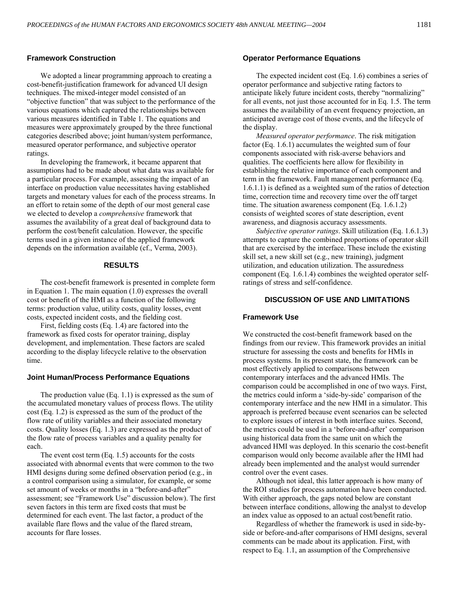# **Framework Construction**

We adopted a linear programming approach to creating a cost-benefit-justification framework for advanced UI design techniques. The mixed-integer model consisted of an "objective function" that was subject to the performance of the various equations which captured the relationships between various measures identified in Table 1. The equations and measures were approximately grouped by the three functional categories described above; joint human/system performance, measured operator performance, and subjective operator ratings.

In developing the framework, it became apparent that assumptions had to be made about what data was available for a particular process. For example, assessing the impact of an interface on production value necessitates having established targets and monetary values for each of the process streams. In an effort to retain some of the depth of our most general case we elected to develop a *comprehensive* framework that assumes the availability of a great deal of background data to perform the cost/benefit calculation. However, the specific terms used in a given instance of the applied framework depends on the information available (cf., Verma, 2003).

# **RESULTS**

The cost-benefit framework is presented in complete form in Equation 1. The main equation (1.0) expresses the overall cost or benefit of the HMI as a function of the following terms: production value, utility costs, quality losses, event costs, expected incident costs, and the fielding cost.

First, fielding costs (Eq. 1.4) are factored into the framework as fixed costs for operator training, display development, and implementation. These factors are scaled according to the display lifecycle relative to the observation time.

#### **Joint Human/Process Performance Equations**

The production value (Eq. 1.1) is expressed as the sum of the accumulated monetary values of process flows. The utility cost (Eq. 1.2) is expressed as the sum of the product of the flow rate of utility variables and their associated monetary costs. Quality losses (Eq. 1.3) are expressed as the product of the flow rate of process variables and a quality penalty for each.

The event cost term (Eq. 1.5) accounts for the costs associated with abnormal events that were common to the two HMI designs during some defined observation period (e.g., in a control comparison using a simulator, for example, or some set amount of weeks or months in a "before-and-after" assessment; see "Framework Use" discussion below). The first seven factors in this term are fixed costs that must be determined for each event. The last factor, a product of the available flare flows and the value of the flared stream, accounts for flare losses.

# **Operator Performance Equations**

The expected incident cost (Eq. 1.6) combines a series of operator performance and subjective rating factors to anticipate likely future incident costs, thereby "normalizing" for all events, not just those accounted for in Eq. 1.5. The term assumes the availability of an event frequency projection, an anticipated average cost of those events, and the lifecycle of the display.

*Measured operator performance*. The risk mitigation factor (Eq. 1.6.1) accumulates the weighted sum of four components associated with risk-averse behaviors and qualities. The coefficients here allow for flexibility in establishing the relative importance of each component and term in the framework. Fault management performance (Eq. 1.6.1.1) is defined as a weighted sum of the ratios of detection time, correction time and recovery time over the off target time. The situation awareness component (Eq. 1.6.1.2) consists of weighted scores of state description, event awareness, and diagnosis accuracy assessments.

*Subjective operator ratings*. Skill utilization (Eq. 1.6.1.3) attempts to capture the combined proportions of operator skill that are exercised by the interface. These include the existing skill set, a new skill set (e.g., new training), judgment utilization, and education utilization. The assuredness component (Eq. 1.6.1.4) combines the weighted operator selfratings of stress and self-confidence.

## **DISCUSSION OF USE AND LIMITATIONS**

#### **Framework Use**

We constructed the cost-benefit framework based on the findings from our review. This framework provides an initial structure for assessing the costs and benefits for HMIs in process systems. In its present state, the framework can be most effectively applied to comparisons between contemporary interfaces and the advanced HMIs. The comparison could be accomplished in one of two ways. First, the metrics could inform a 'side-by-side' comparison of the contemporary interface and the new HMI in a simulator. This approach is preferred because event scenarios can be selected to explore issues of interest in both interface suites. Second, the metrics could be used in a 'before-and-after' comparison using historical data from the same unit on which the advanced HMI was deployed. In this scenario the cost-benefit comparison would only become available after the HMI had already been implemented and the analyst would surrender control over the event cases.

Although not ideal, this latter approach is how many of the ROI studies for process automation have been conducted. With either approach, the gaps noted below are constant between interface conditions, allowing the analyst to develop an index value as opposed to an actual cost/benefit ratio.

Regardless of whether the framework is used in side-byside or before-and-after comparisons of HMI designs, several comments can be made about its application. First, with respect to Eq. 1.1, an assumption of the Comprehensive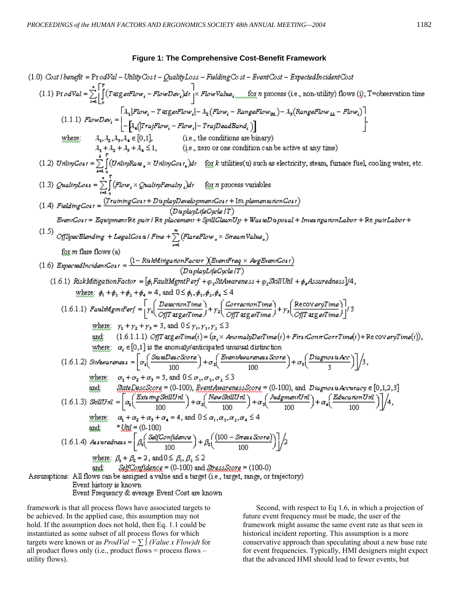(1.0) Cost/length = ProdVol = - Using set 
$$
\omega
$$
 and  $\omega$  for  $\omega$  and  $\omega$  for  $\omega$  for  $\omega$  for  $\omega$  for  $\omega$  for  $\omega$  for  $\omega$  for  $\omega$  for  $\omega$  for  $\omega$  for  $\omega$  for  $\omega$  for  $\omega$  for  $\omega$  for  $\omega$  for  $\omega$  for  $\omega$  for  $\omega$  for  $\omega$  for  $\omega$  for  $\omega$  for  $\omega$  for  $\omega$  for  $\omega$  for  $\omega$  for  $\omega$  for  $\omega$  for  $\omega$  for  $\omega$  for  $\omega$  for  $\omega$  for  $\omega$  for  $\omega$  for  $\omega$  for  $\omega$  for  $\omega$  for  $\omega$  for  $\omega$  for  $\omega$  for  $\omega$  for  $\omega$  for  $\omega$  for  $\omega$  for  $\omega$  for  $\omega$  for  $\omega$  for  $\omega$  for  $\omega$  for  $\omega$  for  $\omega$  for  $\omega$  for  $\omega$  for  $\omega$  for  $\omega$  for  $\omega$  for  $\omega$  for  $\omega$  for  $\omega$  for  $\omega$  for  $\omega$  for  $\omega$  for  $\omega$  for  $\omega$  for  $\omega$  for  $\omega$  for  $\omega$  for  $\omega$  for  $\omega$  for  $\omega$  for  $\omega$  for  $\omega$  for  $\omega$  for  $\omega$  for  $\omega$  for  $\omega$  for  $\omega$  for  $\omega$  for  $\omega$  for  $\omega$  for  $\omega$  for  $\omega$  for  $\omega$  for  $\omega$  for  $\omega$  for  $\omega$  for  $\omega$  for  $\omega$  for  $\omega$  for  $\omega$  for  $\omega$  for  $\omega$ 

framework is that all process flows have associated targets to be achieved. In the applied case, this assumption may not hold. If the assumption does not hold, then Eq. 1.1 could be instantiated as some subset of all process flows for which targets were known or as  $ProdVal = \sum \int (Value \times Flow)dt$  for all product flows only (i.e., product flows = process flows  $$ utility flows).

Second, with respect to Eq 1.6, in which a projection of future event frequency must be made, the user of the framework might assume the same event rate as that seen in historical incident reporting. This assumption is a more conservative approach than speculating about a new base rate for event frequencies. Typically, HMI designers might expect that the advanced HMI should lead to fewer events, but